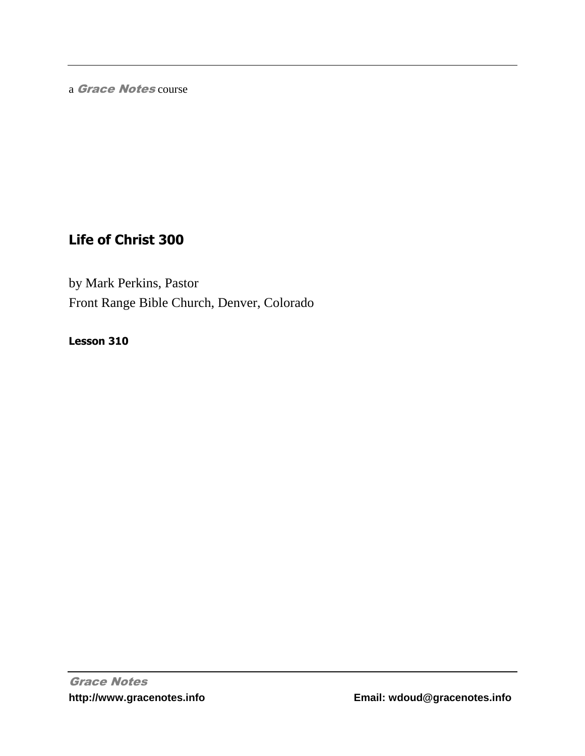a Grace Notes course

# **Life of Christ 300**

by Mark Perkins, Pastor Front Range Bible Church, Denver, Colorado

**Lesson 310**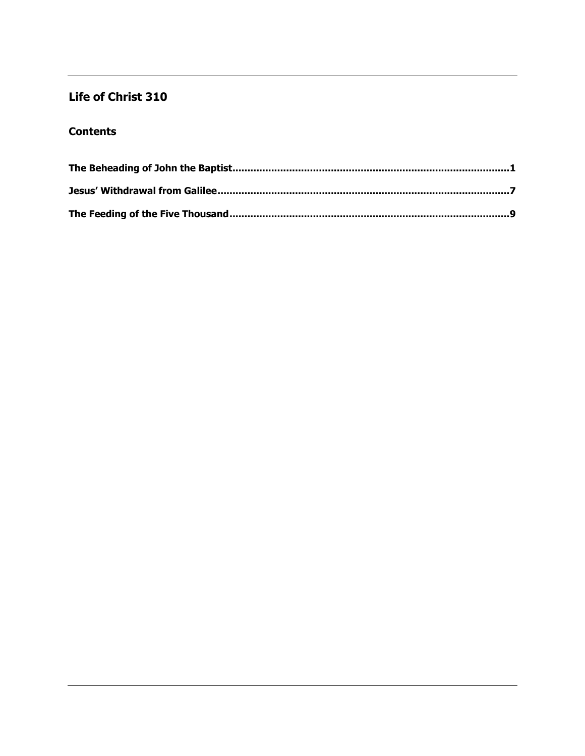## Life of Christ 310

### **Contents**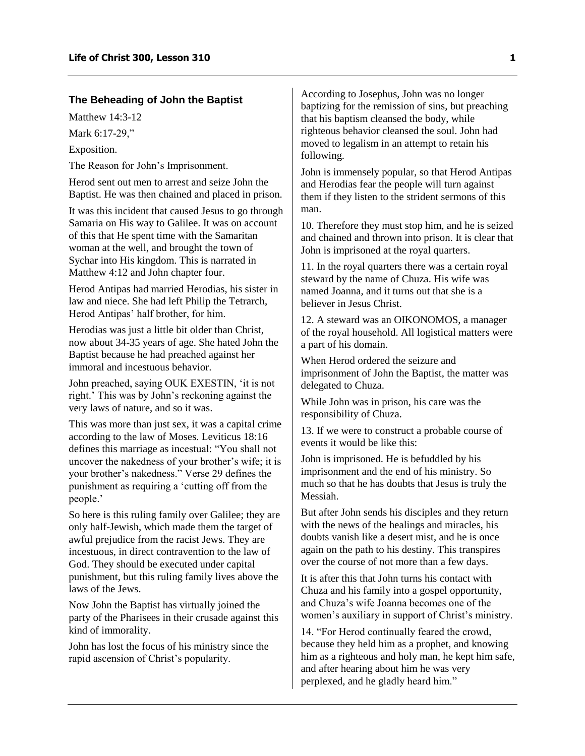#### <span id="page-2-0"></span>**The Beheading of John the Baptist**

Matthew 14:3-12

Mark 6:17-29,"

Exposition.

The Reason for John's Imprisonment.

Herod sent out men to arrest and seize John the Baptist. He was then chained and placed in prison.

It was this incident that caused Jesus to go through Samaria on His way to Galilee. It was on account of this that He spent time with the Samaritan woman at the well, and brought the town of Sychar into His kingdom. This is narrated in Matthew 4:12 and John chapter four.

Herod Antipas had married Herodias, his sister in law and niece. She had left Philip the Tetrarch, Herod Antipas' half brother, for him.

Herodias was just a little bit older than Christ, now about 34-35 years of age. She hated John the Baptist because he had preached against her immoral and incestuous behavior.

John preached, saying OUK EXESTIN, 'it is not right.' This was by John's reckoning against the very laws of nature, and so it was.

This was more than just sex, it was a capital crime according to the law of Moses. Leviticus 18:16 defines this marriage as incestual: "You shall not uncover the nakedness of your brother's wife; it is your brother's nakedness." Verse 29 defines the punishment as requiring a 'cutting off from the people.'

So here is this ruling family over Galilee; they are only half-Jewish, which made them the target of awful prejudice from the racist Jews. They are incestuous, in direct contravention to the law of God. They should be executed under capital punishment, but this ruling family lives above the laws of the Jews.

Now John the Baptist has virtually joined the party of the Pharisees in their crusade against this kind of immorality.

John has lost the focus of his ministry since the rapid ascension of Christ's popularity.

According to Josephus, John was no longer baptizing for the remission of sins, but preaching that his baptism cleansed the body, while righteous behavior cleansed the soul. John had moved to legalism in an attempt to retain his following.

John is immensely popular, so that Herod Antipas and Herodias fear the people will turn against them if they listen to the strident sermons of this man.

10. Therefore they must stop him, and he is seized and chained and thrown into prison. It is clear that John is imprisoned at the royal quarters.

11. In the royal quarters there was a certain royal steward by the name of Chuza. His wife was named Joanna, and it turns out that she is a believer in Jesus Christ.

12. A steward was an OIKONOMOS, a manager of the royal household. All logistical matters were a part of his domain.

When Herod ordered the seizure and imprisonment of John the Baptist, the matter was delegated to Chuza.

While John was in prison, his care was the responsibility of Chuza.

13. If we were to construct a probable course of events it would be like this:

John is imprisoned. He is befuddled by his imprisonment and the end of his ministry. So much so that he has doubts that Jesus is truly the Messiah.

But after John sends his disciples and they return with the news of the healings and miracles, his doubts vanish like a desert mist, and he is once again on the path to his destiny. This transpires over the course of not more than a few days.

It is after this that John turns his contact with Chuza and his family into a gospel opportunity, and Chuza's wife Joanna becomes one of the women's auxiliary in support of Christ's ministry.

14. "For Herod continually feared the crowd, because they held him as a prophet, and knowing him as a righteous and holy man, he kept him safe, and after hearing about him he was very perplexed, and he gladly heard him."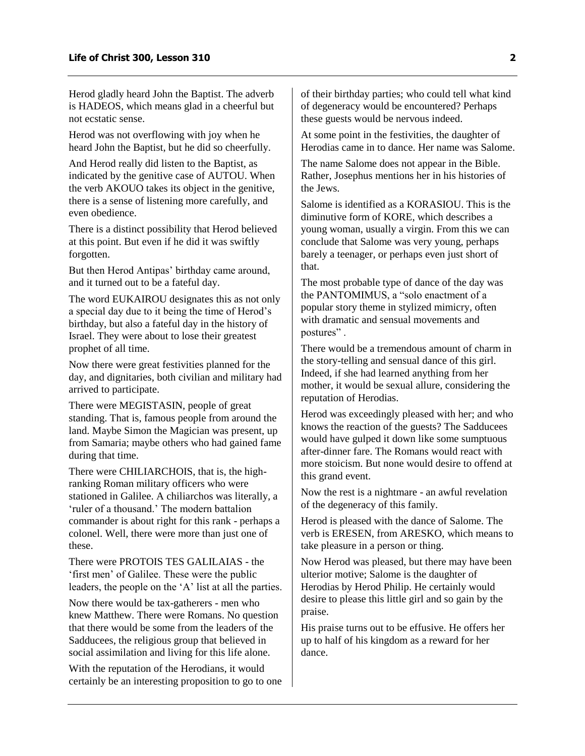Herod gladly heard John the Baptist. The adverb is HADEOS, which means glad in a cheerful but not ecstatic sense.

Herod was not overflowing with joy when he heard John the Baptist, but he did so cheerfully.

And Herod really did listen to the Baptist, as indicated by the genitive case of AUTOU. When the verb AKOUO takes its object in the genitive, there is a sense of listening more carefully, and even obedience.

There is a distinct possibility that Herod believed at this point. But even if he did it was swiftly forgotten.

But then Herod Antipas' birthday came around, and it turned out to be a fateful day.

The word EUKAIROU designates this as not only a special day due to it being the time of Herod's birthday, but also a fateful day in the history of Israel. They were about to lose their greatest prophet of all time.

Now there were great festivities planned for the day, and dignitaries, both civilian and military had arrived to participate.

There were MEGISTASIN, people of great standing. That is, famous people from around the land. Maybe Simon the Magician was present, up from Samaria; maybe others who had gained fame during that time.

There were CHILIARCHOIS, that is, the highranking Roman military officers who were stationed in Galilee. A chiliarchos was literally, a 'ruler of a thousand.' The modern battalion commander is about right for this rank - perhaps a colonel. Well, there were more than just one of these.

There were PROTOIS TES GALILAIAS - the 'first men' of Galilee. These were the public leaders, the people on the 'A' list at all the parties.

Now there would be tax-gatherers - men who knew Matthew. There were Romans. No question that there would be some from the leaders of the Sadducees, the religious group that believed in social assimilation and living for this life alone.

With the reputation of the Herodians, it would certainly be an interesting proposition to go to one of their birthday parties; who could tell what kind of degeneracy would be encountered? Perhaps these guests would be nervous indeed.

At some point in the festivities, the daughter of Herodias came in to dance. Her name was Salome.

The name Salome does not appear in the Bible. Rather, Josephus mentions her in his histories of the Jews.

Salome is identified as a KORASIOU. This is the diminutive form of KORE, which describes a young woman, usually a virgin. From this we can conclude that Salome was very young, perhaps barely a teenager, or perhaps even just short of that.

The most probable type of dance of the day was the PANTOMIMUS, a "solo enactment of a popular story theme in stylized mimicry, often with dramatic and sensual movements and postures" .

There would be a tremendous amount of charm in the story-telling and sensual dance of this girl. Indeed, if she had learned anything from her mother, it would be sexual allure, considering the reputation of Herodias.

Herod was exceedingly pleased with her; and who knows the reaction of the guests? The Sadducees would have gulped it down like some sumptuous after-dinner fare. The Romans would react with more stoicism. But none would desire to offend at this grand event.

Now the rest is a nightmare - an awful revelation of the degeneracy of this family.

Herod is pleased with the dance of Salome. The verb is ERESEN, from ARESKO, which means to take pleasure in a person or thing.

Now Herod was pleased, but there may have been ulterior motive; Salome is the daughter of Herodias by Herod Philip. He certainly would desire to please this little girl and so gain by the praise.

His praise turns out to be effusive. He offers her up to half of his kingdom as a reward for her dance.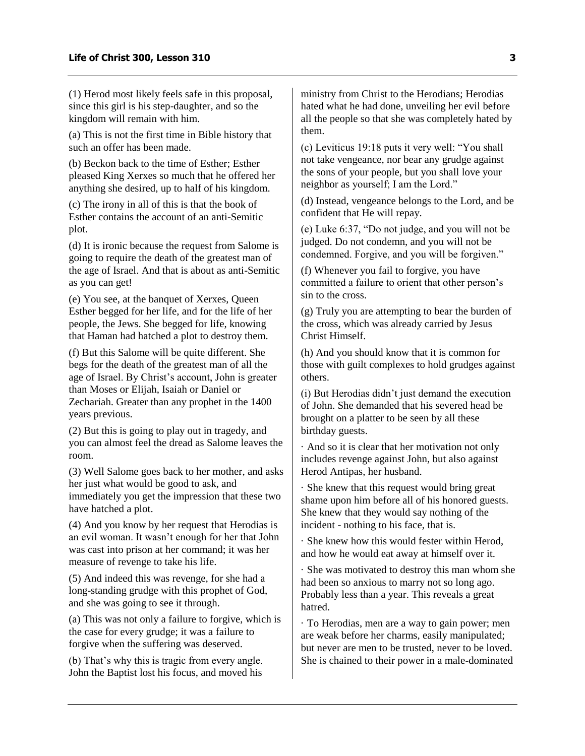(1) Herod most likely feels safe in this proposal, since this girl is his step-daughter, and so the kingdom will remain with him.

(a) This is not the first time in Bible history that such an offer has been made.

(b) Beckon back to the time of Esther; Esther pleased King Xerxes so much that he offered her anything she desired, up to half of his kingdom.

(c) The irony in all of this is that the book of Esther contains the account of an anti-Semitic plot.

(d) It is ironic because the request from Salome is going to require the death of the greatest man of the age of Israel. And that is about as anti-Semitic as you can get!

(e) You see, at the banquet of Xerxes, Queen Esther begged for her life, and for the life of her people, the Jews. She begged for life, knowing that Haman had hatched a plot to destroy them.

(f) But this Salome will be quite different. She begs for the death of the greatest man of all the age of Israel. By Christ's account, John is greater than Moses or Elijah, Isaiah or Daniel or Zechariah. Greater than any prophet in the 1400 years previous.

(2) But this is going to play out in tragedy, and you can almost feel the dread as Salome leaves the room.

(3) Well Salome goes back to her mother, and asks her just what would be good to ask, and

immediately you get the impression that these two have hatched a plot.

(4) And you know by her request that Herodias is an evil woman. It wasn't enough for her that John was cast into prison at her command; it was her measure of revenge to take his life.

(5) And indeed this was revenge, for she had a long-standing grudge with this prophet of God, and she was going to see it through.

(a) This was not only a failure to forgive, which is the case for every grudge; it was a failure to forgive when the suffering was deserved.

(b) That's why this is tragic from every angle. John the Baptist lost his focus, and moved his ministry from Christ to the Herodians; Herodias hated what he had done, unveiling her evil before all the people so that she was completely hated by them.

(c) Leviticus 19:18 puts it very well: "You shall not take vengeance, nor bear any grudge against the sons of your people, but you shall love your neighbor as yourself; I am the Lord."

(d) Instead, vengeance belongs to the Lord, and be confident that He will repay.

(e) Luke 6:37, "Do not judge, and you will not be judged. Do not condemn, and you will not be condemned. Forgive, and you will be forgiven."

(f) Whenever you fail to forgive, you have committed a failure to orient that other person's sin to the cross.

(g) Truly you are attempting to bear the burden of the cross, which was already carried by Jesus Christ Himself.

(h) And you should know that it is common for those with guilt complexes to hold grudges against others.

(i) But Herodias didn't just demand the execution of John. She demanded that his severed head be brought on a platter to be seen by all these birthday guests.

· And so it is clear that her motivation not only includes revenge against John, but also against Herod Antipas, her husband.

· She knew that this request would bring great shame upon him before all of his honored guests. She knew that they would say nothing of the incident - nothing to his face, that is.

· She knew how this would fester within Herod, and how he would eat away at himself over it.

· She was motivated to destroy this man whom she had been so anxious to marry not so long ago. Probably less than a year. This reveals a great hatred.

· To Herodias, men are a way to gain power; men are weak before her charms, easily manipulated; but never are men to be trusted, never to be loved. She is chained to their power in a male-dominated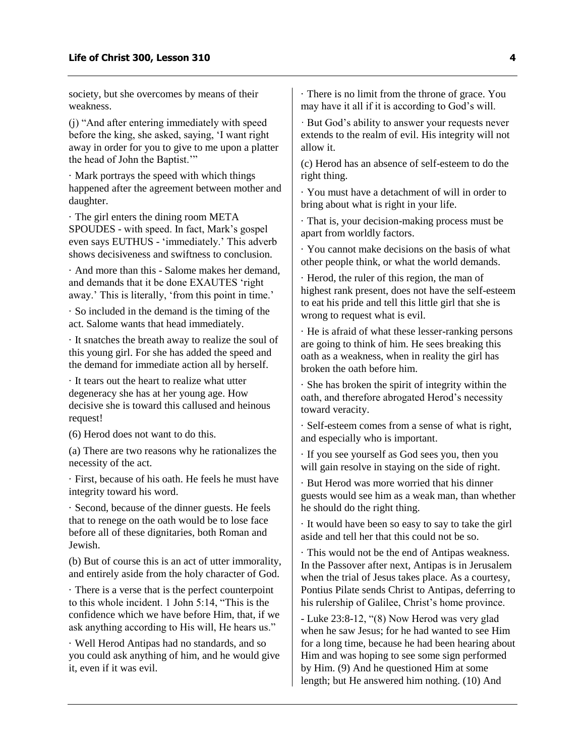society, but she overcomes by means of their weakness.

(j) "And after entering immediately with speed before the king, she asked, saying, 'I want right away in order for you to give to me upon a platter the head of John the Baptist.'"

· Mark portrays the speed with which things happened after the agreement between mother and daughter.

· The girl enters the dining room META SPOUDES - with speed. In fact, Mark's gospel even says EUTHUS - 'immediately.' This adverb shows decisiveness and swiftness to conclusion.

· And more than this - Salome makes her demand, and demands that it be done EXAUTES 'right away.' This is literally, 'from this point in time.'

· So included in the demand is the timing of the act. Salome wants that head immediately.

· It snatches the breath away to realize the soul of this young girl. For she has added the speed and the demand for immediate action all by herself.

· It tears out the heart to realize what utter degeneracy she has at her young age. How decisive she is toward this callused and heinous request!

(6) Herod does not want to do this.

(a) There are two reasons why he rationalizes the necessity of the act.

· First, because of his oath. He feels he must have integrity toward his word.

· Second, because of the dinner guests. He feels that to renege on the oath would be to lose face before all of these dignitaries, both Roman and Jewish.

(b) But of course this is an act of utter immorality, and entirely aside from the holy character of God.

· There is a verse that is the perfect counterpoint to this whole incident. 1 John 5:14, "This is the confidence which we have before Him, that, if we ask anything according to His will, He hears us."

· Well Herod Antipas had no standards, and so you could ask anything of him, and he would give it, even if it was evil.

· There is no limit from the throne of grace. You may have it all if it is according to God's will.

· But God's ability to answer your requests never extends to the realm of evil. His integrity will not allow it.

(c) Herod has an absence of self-esteem to do the right thing.

· You must have a detachment of will in order to bring about what is right in your life.

· That is, your decision-making process must be apart from worldly factors.

· You cannot make decisions on the basis of what other people think, or what the world demands.

· Herod, the ruler of this region, the man of highest rank present, does not have the self-esteem to eat his pride and tell this little girl that she is wrong to request what is evil.

· He is afraid of what these lesser-ranking persons are going to think of him. He sees breaking this oath as a weakness, when in reality the girl has broken the oath before him.

· She has broken the spirit of integrity within the oath, and therefore abrogated Herod's necessity toward veracity.

· Self-esteem comes from a sense of what is right, and especially who is important.

· If you see yourself as God sees you, then you will gain resolve in staying on the side of right.

· But Herod was more worried that his dinner guests would see him as a weak man, than whether he should do the right thing.

· It would have been so easy to say to take the girl aside and tell her that this could not be so.

· This would not be the end of Antipas weakness. In the Passover after next, Antipas is in Jerusalem when the trial of Jesus takes place. As a courtesy, Pontius Pilate sends Christ to Antipas, deferring to his rulership of Galilee, Christ's home province.

- Luke 23:8-12, "(8) Now Herod was very glad when he saw Jesus; for he had wanted to see Him for a long time, because he had been hearing about Him and was hoping to see some sign performed by Him. (9) And he questioned Him at some length; but He answered him nothing. (10) And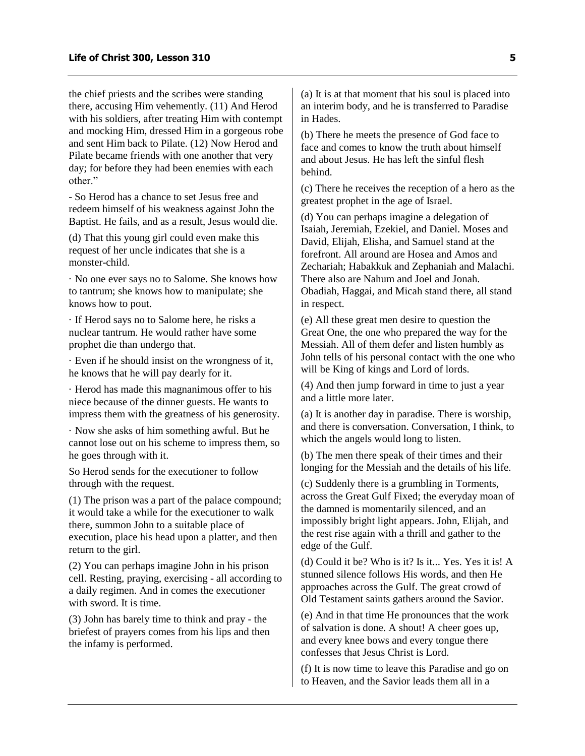the chief priests and the scribes were standing there, accusing Him vehemently. (11) And Herod with his soldiers, after treating Him with contempt and mocking Him, dressed Him in a gorgeous robe and sent Him back to Pilate. (12) Now Herod and Pilate became friends with one another that very day; for before they had been enemies with each other."

- So Herod has a chance to set Jesus free and redeem himself of his weakness against John the Baptist. He fails, and as a result, Jesus would die.

(d) That this young girl could even make this request of her uncle indicates that she is a monster-child.

· No one ever says no to Salome. She knows how to tantrum; she knows how to manipulate; she knows how to pout.

· If Herod says no to Salome here, he risks a nuclear tantrum. He would rather have some prophet die than undergo that.

· Even if he should insist on the wrongness of it, he knows that he will pay dearly for it.

· Herod has made this magnanimous offer to his niece because of the dinner guests. He wants to impress them with the greatness of his generosity.

· Now she asks of him something awful. But he cannot lose out on his scheme to impress them, so he goes through with it.

So Herod sends for the executioner to follow through with the request.

(1) The prison was a part of the palace compound; it would take a while for the executioner to walk there, summon John to a suitable place of execution, place his head upon a platter, and then return to the girl.

(2) You can perhaps imagine John in his prison cell. Resting, praying, exercising - all according to a daily regimen. And in comes the executioner with sword. It is time.

(3) John has barely time to think and pray - the briefest of prayers comes from his lips and then the infamy is performed.

(a) It is at that moment that his soul is placed into an interim body, and he is transferred to Paradise in Hades.

(b) There he meets the presence of God face to face and comes to know the truth about himself and about Jesus. He has left the sinful flesh behind.

(c) There he receives the reception of a hero as the greatest prophet in the age of Israel.

(d) You can perhaps imagine a delegation of Isaiah, Jeremiah, Ezekiel, and Daniel. Moses and David, Elijah, Elisha, and Samuel stand at the forefront. All around are Hosea and Amos and Zechariah; Habakkuk and Zephaniah and Malachi. There also are Nahum and Joel and Jonah. Obadiah, Haggai, and Micah stand there, all stand in respect.

(e) All these great men desire to question the Great One, the one who prepared the way for the Messiah. All of them defer and listen humbly as John tells of his personal contact with the one who will be King of kings and Lord of lords.

(4) And then jump forward in time to just a year and a little more later.

(a) It is another day in paradise. There is worship, and there is conversation. Conversation, I think, to which the angels would long to listen.

(b) The men there speak of their times and their longing for the Messiah and the details of his life.

(c) Suddenly there is a grumbling in Torments, across the Great Gulf Fixed; the everyday moan of the damned is momentarily silenced, and an impossibly bright light appears. John, Elijah, and the rest rise again with a thrill and gather to the edge of the Gulf.

(d) Could it be? Who is it? Is it... Yes. Yes it is! A stunned silence follows His words, and then He approaches across the Gulf. The great crowd of Old Testament saints gathers around the Savior.

(e) And in that time He pronounces that the work of salvation is done. A shout! A cheer goes up, and every knee bows and every tongue there confesses that Jesus Christ is Lord.

(f) It is now time to leave this Paradise and go on to Heaven, and the Savior leads them all in a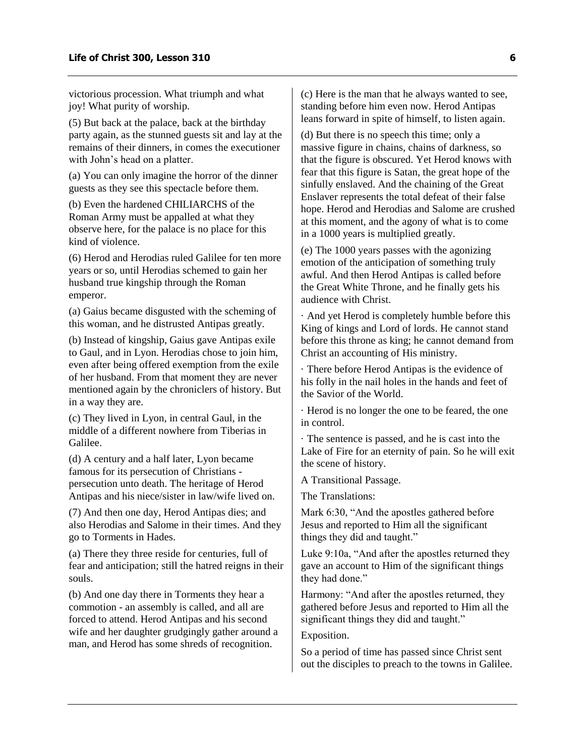victorious procession. What triumph and what joy! What purity of worship.

(5) But back at the palace, back at the birthday party again, as the stunned guests sit and lay at the remains of their dinners, in comes the executioner with John's head on a platter.

(a) You can only imagine the horror of the dinner guests as they see this spectacle before them.

(b) Even the hardened CHILIARCHS of the Roman Army must be appalled at what they observe here, for the palace is no place for this kind of violence.

(6) Herod and Herodias ruled Galilee for ten more years or so, until Herodias schemed to gain her husband true kingship through the Roman emperor.

(a) Gaius became disgusted with the scheming of this woman, and he distrusted Antipas greatly.

(b) Instead of kingship, Gaius gave Antipas exile to Gaul, and in Lyon. Herodias chose to join him, even after being offered exemption from the exile of her husband. From that moment they are never mentioned again by the chroniclers of history. But in a way they are.

(c) They lived in Lyon, in central Gaul, in the middle of a different nowhere from Tiberias in Galilee.

(d) A century and a half later, Lyon became famous for its persecution of Christians persecution unto death. The heritage of Herod Antipas and his niece/sister in law/wife lived on.

(7) And then one day, Herod Antipas dies; and also Herodias and Salome in their times. And they go to Torments in Hades.

(a) There they three reside for centuries, full of fear and anticipation; still the hatred reigns in their souls.

(b) And one day there in Torments they hear a commotion - an assembly is called, and all are forced to attend. Herod Antipas and his second wife and her daughter grudgingly gather around a man, and Herod has some shreds of recognition.

(c) Here is the man that he always wanted to see, standing before him even now. Herod Antipas leans forward in spite of himself, to listen again.

(d) But there is no speech this time; only a massive figure in chains, chains of darkness, so that the figure is obscured. Yet Herod knows with fear that this figure is Satan, the great hope of the sinfully enslaved. And the chaining of the Great Enslaver represents the total defeat of their false hope. Herod and Herodias and Salome are crushed at this moment, and the agony of what is to come in a 1000 years is multiplied greatly.

(e) The 1000 years passes with the agonizing emotion of the anticipation of something truly awful. And then Herod Antipas is called before the Great White Throne, and he finally gets his audience with Christ.

· And yet Herod is completely humble before this King of kings and Lord of lords. He cannot stand before this throne as king; he cannot demand from Christ an accounting of His ministry.

· There before Herod Antipas is the evidence of his folly in the nail holes in the hands and feet of the Savior of the World.

· Herod is no longer the one to be feared, the one in control.

· The sentence is passed, and he is cast into the Lake of Fire for an eternity of pain. So he will exit the scene of history.

A Transitional Passage.

The Translations:

Mark 6:30, "And the apostles gathered before Jesus and reported to Him all the significant things they did and taught."

Luke 9:10a, "And after the apostles returned they gave an account to Him of the significant things they had done."

Harmony: "And after the apostles returned, they gathered before Jesus and reported to Him all the significant things they did and taught."

#### Exposition.

So a period of time has passed since Christ sent out the disciples to preach to the towns in Galilee.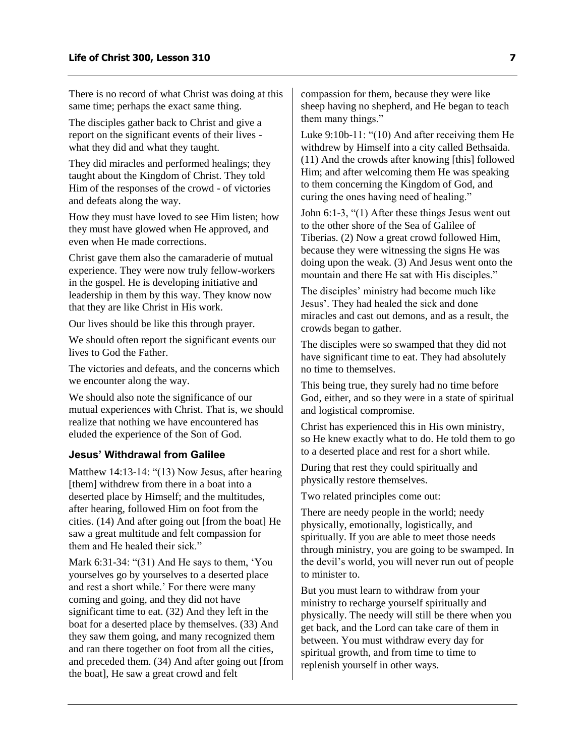There is no record of what Christ was doing at this same time; perhaps the exact same thing.

The disciples gather back to Christ and give a report on the significant events of their lives what they did and what they taught.

They did miracles and performed healings; they taught about the Kingdom of Christ. They told Him of the responses of the crowd - of victories and defeats along the way.

How they must have loved to see Him listen; how they must have glowed when He approved, and even when He made corrections.

Christ gave them also the camaraderie of mutual experience. They were now truly fellow-workers in the gospel. He is developing initiative and leadership in them by this way. They know now that they are like Christ in His work.

Our lives should be like this through prayer.

We should often report the significant events our lives to God the Father.

The victories and defeats, and the concerns which we encounter along the way.

We should also note the significance of our mutual experiences with Christ. That is, we should realize that nothing we have encountered has eluded the experience of the Son of God.

#### <span id="page-8-0"></span>**Jesus' Withdrawal from Galilee**

Matthew 14:13-14: "(13) Now Jesus, after hearing [them] withdrew from there in a boat into a deserted place by Himself; and the multitudes, after hearing, followed Him on foot from the cities. (14) And after going out [from the boat] He saw a great multitude and felt compassion for them and He healed their sick."

Mark 6:31-34: "(31) And He says to them, 'You yourselves go by yourselves to a deserted place and rest a short while.' For there were many coming and going, and they did not have significant time to eat. (32) And they left in the boat for a deserted place by themselves. (33) And they saw them going, and many recognized them and ran there together on foot from all the cities, and preceded them. (34) And after going out [from the boat], He saw a great crowd and felt

compassion for them, because they were like sheep having no shepherd, and He began to teach them many things."

Luke 9:10b-11: "(10) And after receiving them He withdrew by Himself into a city called Bethsaida. (11) And the crowds after knowing [this] followed Him; and after welcoming them He was speaking to them concerning the Kingdom of God, and curing the ones having need of healing."

John 6:1-3, "(1) After these things Jesus went out to the other shore of the Sea of Galilee of Tiberias. (2) Now a great crowd followed Him, because they were witnessing the signs He was doing upon the weak. (3) And Jesus went onto the mountain and there He sat with His disciples."

The disciples' ministry had become much like Jesus'. They had healed the sick and done miracles and cast out demons, and as a result, the crowds began to gather.

The disciples were so swamped that they did not have significant time to eat. They had absolutely no time to themselves.

This being true, they surely had no time before God, either, and so they were in a state of spiritual and logistical compromise.

Christ has experienced this in His own ministry, so He knew exactly what to do. He told them to go to a deserted place and rest for a short while.

During that rest they could spiritually and physically restore themselves.

Two related principles come out:

There are needy people in the world; needy physically, emotionally, logistically, and spiritually. If you are able to meet those needs through ministry, you are going to be swamped. In the devil's world, you will never run out of people to minister to.

But you must learn to withdraw from your ministry to recharge yourself spiritually and physically. The needy will still be there when you get back, and the Lord can take care of them in between. You must withdraw every day for spiritual growth, and from time to time to replenish yourself in other ways.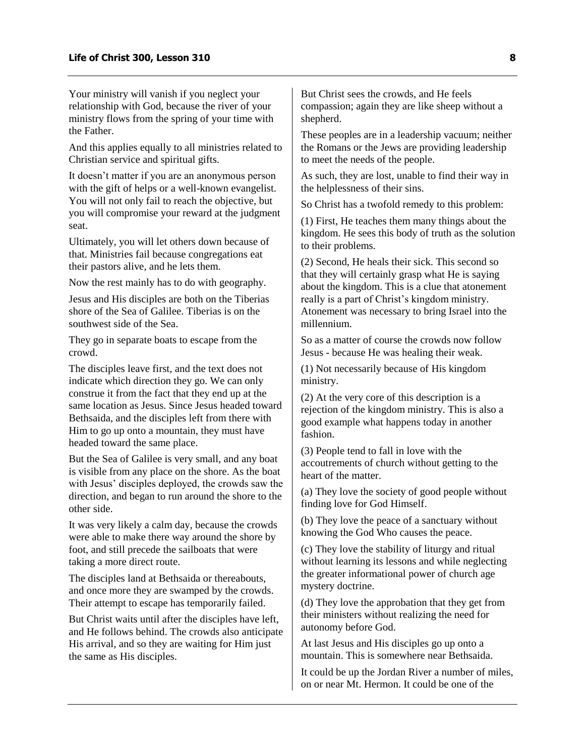Your ministry will vanish if you neglect your relationship with God, because the river of your ministry flows from the spring of your time with the Father.

And this applies equally to all ministries related to Christian service and spiritual gifts.

It doesn't matter if you are an anonymous person with the gift of helps or a well-known evangelist. You will not only fail to reach the objective, but you will compromise your reward at the judgment seat.

Ultimately, you will let others down because of that. Ministries fail because congregations eat their pastors alive, and he lets them.

Now the rest mainly has to do with geography.

Jesus and His disciples are both on the Tiberias shore of the Sea of Galilee. Tiberias is on the southwest side of the Sea.

They go in separate boats to escape from the crowd.

The disciples leave first, and the text does not indicate which direction they go. We can only construe it from the fact that they end up at the same location as Jesus. Since Jesus headed toward Bethsaida, and the disciples left from there with Him to go up onto a mountain, they must have headed toward the same place.

But the Sea of Galilee is very small, and any boat is visible from any place on the shore. As the boat with Jesus' disciples deployed, the crowds saw the direction, and began to run around the shore to the other side.

It was very likely a calm day, because the crowds were able to make there way around the shore by foot, and still precede the sailboats that were taking a more direct route.

The disciples land at Bethsaida or thereabouts, and once more they are swamped by the crowds. Their attempt to escape has temporarily failed.

But Christ waits until after the disciples have left, and He follows behind. The crowds also anticipate His arrival, and so they are waiting for Him just the same as His disciples.

But Christ sees the crowds, and He feels compassion; again they are like sheep without a shepherd.

These peoples are in a leadership vacuum; neither the Romans or the Jews are providing leadership to meet the needs of the people.

As such, they are lost, unable to find their way in the helplessness of their sins.

So Christ has a twofold remedy to this problem:

(1) First, He teaches them many things about the kingdom. He sees this body of truth as the solution to their problems.

(2) Second, He heals their sick. This second so that they will certainly grasp what He is saying about the kingdom. This is a clue that atonement really is a part of Christ's kingdom ministry. Atonement was necessary to bring Israel into the millennium.

So as a matter of course the crowds now follow Jesus - because He was healing their weak.

(1) Not necessarily because of His kingdom ministry.

(2) At the very core of this description is a rejection of the kingdom ministry. This is also a good example what happens today in another fashion.

(3) People tend to fall in love with the accoutrements of church without getting to the heart of the matter.

(a) They love the society of good people without finding love for God Himself.

(b) They love the peace of a sanctuary without knowing the God Who causes the peace.

(c) They love the stability of liturgy and ritual without learning its lessons and while neglecting the greater informational power of church age mystery doctrine.

(d) They love the approbation that they get from their ministers without realizing the need for autonomy before God.

At last Jesus and His disciples go up onto a mountain. This is somewhere near Bethsaida.

It could be up the Jordan River a number of miles, on or near Mt. Hermon. It could be one of the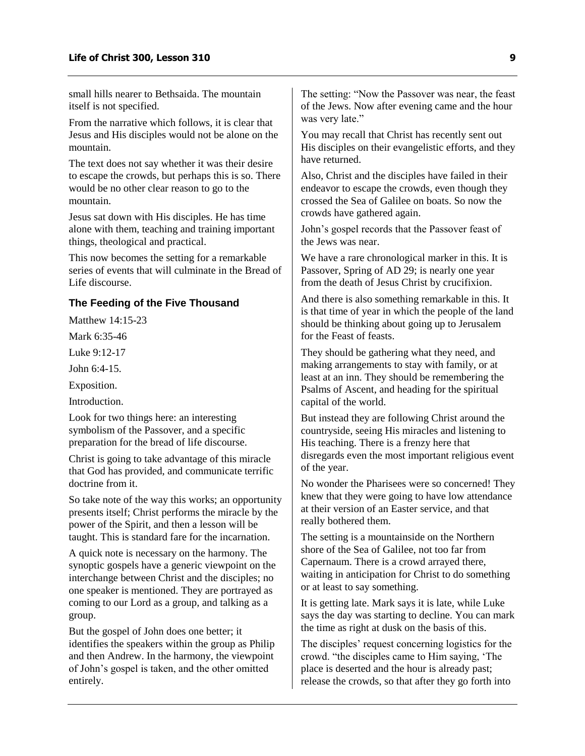small hills nearer to Bethsaida. The mountain itself is not specified.

From the narrative which follows, it is clear that Jesus and His disciples would not be alone on the mountain.

The text does not say whether it was their desire to escape the crowds, but perhaps this is so. There would be no other clear reason to go to the mountain.

Jesus sat down with His disciples. He has time alone with them, teaching and training important things, theological and practical.

This now becomes the setting for a remarkable series of events that will culminate in the Bread of Life discourse.

#### <span id="page-10-0"></span>**The Feeding of the Five Thousand**

Matthew 14:15-23

Mark 6:35-46

Luke 9:12-17

John 6:4-15.

Exposition.

Introduction.

Look for two things here: an interesting symbolism of the Passover, and a specific preparation for the bread of life discourse.

Christ is going to take advantage of this miracle that God has provided, and communicate terrific doctrine from it.

So take note of the way this works; an opportunity presents itself; Christ performs the miracle by the power of the Spirit, and then a lesson will be taught. This is standard fare for the incarnation.

A quick note is necessary on the harmony. The synoptic gospels have a generic viewpoint on the interchange between Christ and the disciples; no one speaker is mentioned. They are portrayed as coming to our Lord as a group, and talking as a group.

But the gospel of John does one better; it identifies the speakers within the group as Philip and then Andrew. In the harmony, the viewpoint of John's gospel is taken, and the other omitted entirely.

The setting: "Now the Passover was near, the feast of the Jews. Now after evening came and the hour was very late."

You may recall that Christ has recently sent out His disciples on their evangelistic efforts, and they have returned.

Also, Christ and the disciples have failed in their endeavor to escape the crowds, even though they crossed the Sea of Galilee on boats. So now the crowds have gathered again.

John's gospel records that the Passover feast of the Jews was near.

We have a rare chronological marker in this. It is Passover, Spring of AD 29; is nearly one year from the death of Jesus Christ by crucifixion.

And there is also something remarkable in this. It is that time of year in which the people of the land should be thinking about going up to Jerusalem for the Feast of feasts.

They should be gathering what they need, and making arrangements to stay with family, or at least at an inn. They should be remembering the Psalms of Ascent, and heading for the spiritual capital of the world.

But instead they are following Christ around the countryside, seeing His miracles and listening to His teaching. There is a frenzy here that disregards even the most important religious event of the year.

No wonder the Pharisees were so concerned! They knew that they were going to have low attendance at their version of an Easter service, and that really bothered them.

The setting is a mountainside on the Northern shore of the Sea of Galilee, not too far from Capernaum. There is a crowd arrayed there, waiting in anticipation for Christ to do something or at least to say something.

It is getting late. Mark says it is late, while Luke says the day was starting to decline. You can mark the time as right at dusk on the basis of this.

The disciples' request concerning logistics for the crowd. "the disciples came to Him saying, 'The place is deserted and the hour is already past; release the crowds, so that after they go forth into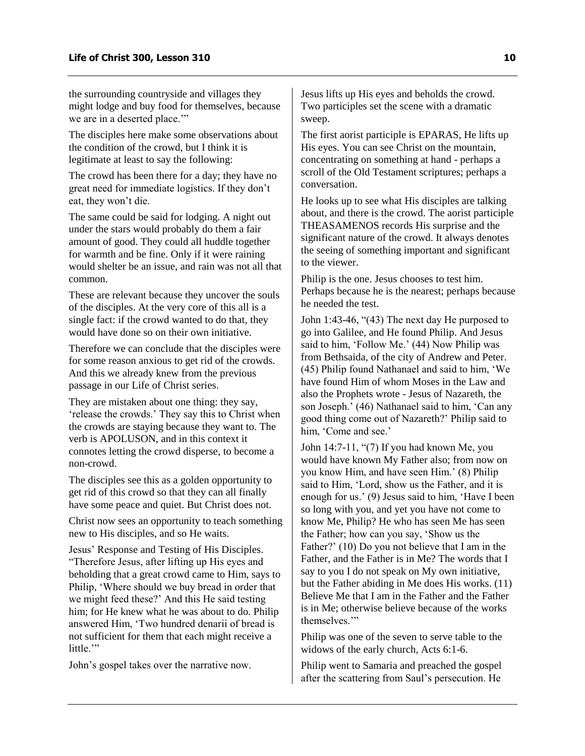the surrounding countryside and villages they might lodge and buy food for themselves, because we are in a deserted place."

The disciples here make some observations about the condition of the crowd, but I think it is legitimate at least to say the following:

The crowd has been there for a day; they have no great need for immediate logistics. If they don't eat, they won't die.

The same could be said for lodging. A night out under the stars would probably do them a fair amount of good. They could all huddle together for warmth and be fine. Only if it were raining would shelter be an issue, and rain was not all that common.

These are relevant because they uncover the souls of the disciples. At the very core of this all is a single fact: if the crowd wanted to do that, they would have done so on their own initiative.

Therefore we can conclude that the disciples were for some reason anxious to get rid of the crowds. And this we already knew from the previous passage in our Life of Christ series.

They are mistaken about one thing: they say, 'release the crowds.' They say this to Christ when the crowds are staying because they want to. The verb is APOLUSON, and in this context it connotes letting the crowd disperse, to become a non-crowd.

The disciples see this as a golden opportunity to get rid of this crowd so that they can all finally have some peace and quiet. But Christ does not.

Christ now sees an opportunity to teach something new to His disciples, and so He waits.

Jesus' Response and Testing of His Disciples. "Therefore Jesus, after lifting up His eyes and beholding that a great crowd came to Him, says to Philip, 'Where should we buy bread in order that we might feed these?' And this He said testing him; for He knew what he was about to do. Philip answered Him, 'Two hundred denarii of bread is not sufficient for them that each might receive a little."

John's gospel takes over the narrative now.

Jesus lifts up His eyes and beholds the crowd. Two participles set the scene with a dramatic sweep.

The first aorist participle is EPARAS, He lifts up His eyes. You can see Christ on the mountain, concentrating on something at hand - perhaps a scroll of the Old Testament scriptures; perhaps a conversation.

He looks up to see what His disciples are talking about, and there is the crowd. The aorist participle THEASAMENOS records His surprise and the significant nature of the crowd. It always denotes the seeing of something important and significant to the viewer.

Philip is the one. Jesus chooses to test him. Perhaps because he is the nearest; perhaps because he needed the test.

John 1:43-46, "(43) The next day He purposed to go into Galilee, and He found Philip. And Jesus said to him, 'Follow Me.' (44) Now Philip was from Bethsaida, of the city of Andrew and Peter. (45) Philip found Nathanael and said to him, 'We have found Him of whom Moses in the Law and also the Prophets wrote - Jesus of Nazareth, the son Joseph.' (46) Nathanael said to him, 'Can any good thing come out of Nazareth?' Philip said to him, 'Come and see.'

John 14:7-11, "(7) If you had known Me, you would have known My Father also; from now on you know Him, and have seen Him.' (8) Philip said to Him, 'Lord, show us the Father, and it is enough for us.' (9) Jesus said to him, 'Have I been so long with you, and yet you have not come to know Me, Philip? He who has seen Me has seen the Father; how can you say, 'Show us the Father?' (10) Do you not believe that I am in the Father, and the Father is in Me? The words that I say to you I do not speak on My own initiative, but the Father abiding in Me does His works. (11) Believe Me that I am in the Father and the Father is in Me; otherwise believe because of the works themselves.'"

Philip was one of the seven to serve table to the widows of the early church, Acts 6:1-6.

Philip went to Samaria and preached the gospel after the scattering from Saul's persecution. He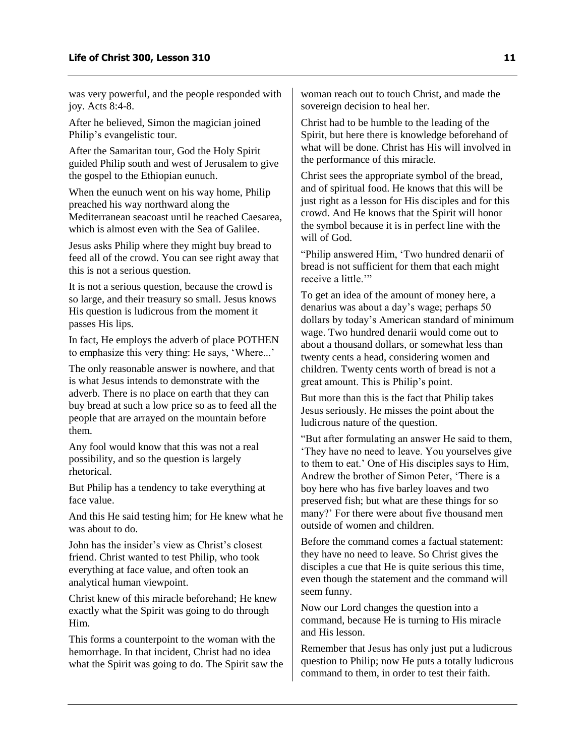was very powerful, and the people responded with joy. Acts 8:4-8.

After he believed, Simon the magician joined Philip's evangelistic tour.

After the Samaritan tour, God the Holy Spirit guided Philip south and west of Jerusalem to give the gospel to the Ethiopian eunuch.

When the eunuch went on his way home, Philip preached his way northward along the Mediterranean seacoast until he reached Caesarea, which is almost even with the Sea of Galilee.

Jesus asks Philip where they might buy bread to feed all of the crowd. You can see right away that this is not a serious question.

It is not a serious question, because the crowd is so large, and their treasury so small. Jesus knows His question is ludicrous from the moment it passes His lips.

In fact, He employs the adverb of place POTHEN to emphasize this very thing: He says, 'Where...'

The only reasonable answer is nowhere, and that is what Jesus intends to demonstrate with the adverb. There is no place on earth that they can buy bread at such a low price so as to feed all the people that are arrayed on the mountain before them.

Any fool would know that this was not a real possibility, and so the question is largely rhetorical.

But Philip has a tendency to take everything at face value.

And this He said testing him; for He knew what he was about to do.

John has the insider's view as Christ's closest friend. Christ wanted to test Philip, who took everything at face value, and often took an analytical human viewpoint.

Christ knew of this miracle beforehand; He knew exactly what the Spirit was going to do through Him.

This forms a counterpoint to the woman with the hemorrhage. In that incident, Christ had no idea what the Spirit was going to do. The Spirit saw the

woman reach out to touch Christ, and made the sovereign decision to heal her.

Christ had to be humble to the leading of the Spirit, but here there is knowledge beforehand of what will be done. Christ has His will involved in the performance of this miracle.

Christ sees the appropriate symbol of the bread, and of spiritual food. He knows that this will be just right as a lesson for His disciples and for this crowd. And He knows that the Spirit will honor the symbol because it is in perfect line with the will of God.

"Philip answered Him, 'Two hundred denarii of bread is not sufficient for them that each might receive a little.'"

To get an idea of the amount of money here, a denarius was about a day's wage; perhaps 50 dollars by today's American standard of minimum wage. Two hundred denarii would come out to about a thousand dollars, or somewhat less than twenty cents a head, considering women and children. Twenty cents worth of bread is not a great amount. This is Philip's point.

But more than this is the fact that Philip takes Jesus seriously. He misses the point about the ludicrous nature of the question.

"But after formulating an answer He said to them, 'They have no need to leave. You yourselves give to them to eat.' One of His disciples says to Him, Andrew the brother of Simon Peter, 'There is a boy here who has five barley loaves and two preserved fish; but what are these things for so many?' For there were about five thousand men outside of women and children.

Before the command comes a factual statement: they have no need to leave. So Christ gives the disciples a cue that He is quite serious this time, even though the statement and the command will seem funny.

Now our Lord changes the question into a command, because He is turning to His miracle and His lesson.

Remember that Jesus has only just put a ludicrous question to Philip; now He puts a totally ludicrous command to them, in order to test their faith.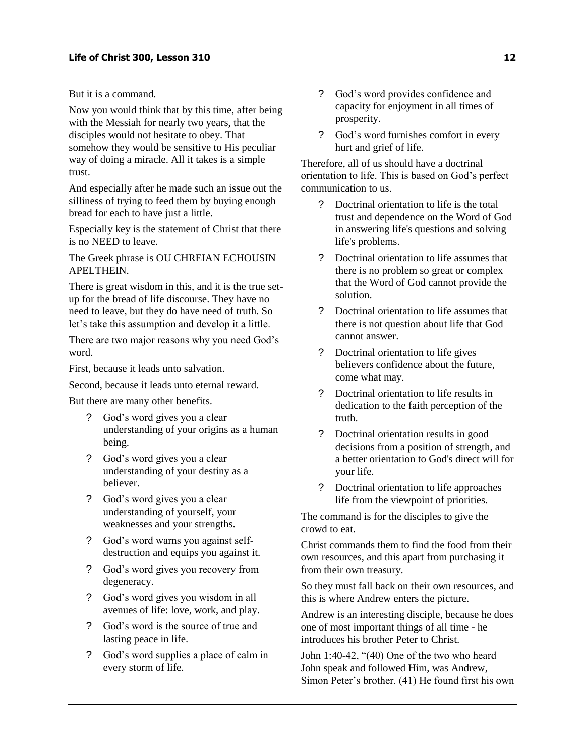But it is a command.

Now you would think that by this time, after being with the Messiah for nearly two years, that the disciples would not hesitate to obey. That somehow they would be sensitive to His peculiar way of doing a miracle. All it takes is a simple trust.

And especially after he made such an issue out the silliness of trying to feed them by buying enough bread for each to have just a little.

Especially key is the statement of Christ that there is no NEED to leave.

The Greek phrase is OU CHREIAN ECHOUSIN APELTHEIN.

There is great wisdom in this, and it is the true setup for the bread of life discourse. They have no need to leave, but they do have need of truth. So let's take this assumption and develop it a little.

There are two major reasons why you need God's word.

First, because it leads unto salvation.

Second, because it leads unto eternal reward.

But there are many other benefits.

- ? God's word gives you a clear understanding of your origins as a human being.
- ? God's word gives you a clear understanding of your destiny as a believer.
- ? God's word gives you a clear understanding of yourself, your weaknesses and your strengths.
- ? God's word warns you against selfdestruction and equips you against it.
- ? God's word gives you recovery from degeneracy.
- ? God's word gives you wisdom in all avenues of life: love, work, and play.
- ? God's word is the source of true and lasting peace in life.
- ? God's word supplies a place of calm in every storm of life.
- ? God's word provides confidence and capacity for enjoyment in all times of prosperity.
- ? God's word furnishes comfort in every hurt and grief of life.

Therefore, all of us should have a doctrinal orientation to life. This is based on God's perfect communication to us.

- ? Doctrinal orientation to life is the total trust and dependence on the Word of God in answering life's questions and solving life's problems.
- ? Doctrinal orientation to life assumes that there is no problem so great or complex that the Word of God cannot provide the solution.
- ? Doctrinal orientation to life assumes that there is not question about life that God cannot answer.
- ? Doctrinal orientation to life gives believers confidence about the future, come what may.
- ? Doctrinal orientation to life results in dedication to the faith perception of the truth.
- ? Doctrinal orientation results in good decisions from a position of strength, and a better orientation to God's direct will for your life.
- ? Doctrinal orientation to life approaches life from the viewpoint of priorities.

The command is for the disciples to give the crowd to eat.

Christ commands them to find the food from their own resources, and this apart from purchasing it from their own treasury.

So they must fall back on their own resources, and this is where Andrew enters the picture.

Andrew is an interesting disciple, because he does one of most important things of all time - he introduces his brother Peter to Christ.

John 1:40-42, "(40) One of the two who heard John speak and followed Him, was Andrew, Simon Peter's brother. (41) He found first his own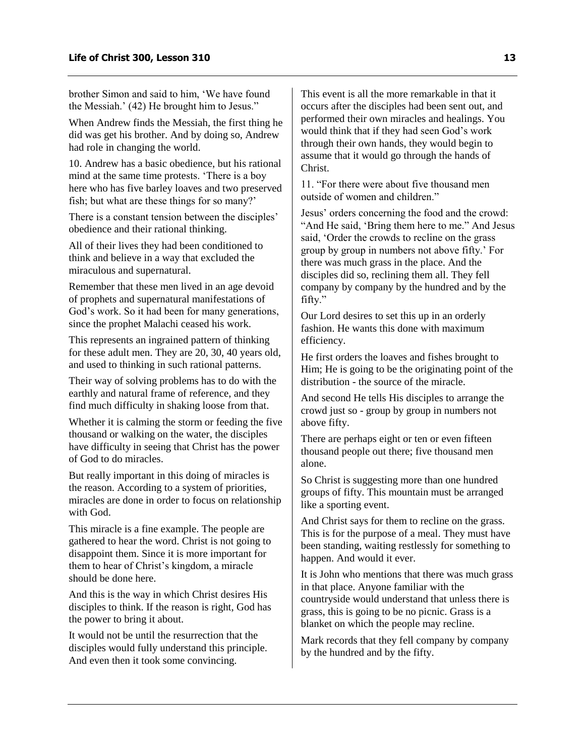brother Simon and said to him, 'We have found the Messiah.' (42) He brought him to Jesus."

When Andrew finds the Messiah, the first thing he did was get his brother. And by doing so, Andrew had role in changing the world.

10. Andrew has a basic obedience, but his rational mind at the same time protests. 'There is a boy here who has five barley loaves and two preserved fish; but what are these things for so many?'

There is a constant tension between the disciples' obedience and their rational thinking.

All of their lives they had been conditioned to think and believe in a way that excluded the miraculous and supernatural.

Remember that these men lived in an age devoid of prophets and supernatural manifestations of God's work. So it had been for many generations, since the prophet Malachi ceased his work.

This represents an ingrained pattern of thinking for these adult men. They are 20, 30, 40 years old, and used to thinking in such rational patterns.

Their way of solving problems has to do with the earthly and natural frame of reference, and they find much difficulty in shaking loose from that.

Whether it is calming the storm or feeding the five thousand or walking on the water, the disciples have difficulty in seeing that Christ has the power of God to do miracles.

But really important in this doing of miracles is the reason. According to a system of priorities, miracles are done in order to focus on relationship with God.

This miracle is a fine example. The people are gathered to hear the word. Christ is not going to disappoint them. Since it is more important for them to hear of Christ's kingdom, a miracle should be done here.

And this is the way in which Christ desires His disciples to think. If the reason is right, God has the power to bring it about.

It would not be until the resurrection that the disciples would fully understand this principle. And even then it took some convincing.

This event is all the more remarkable in that it occurs after the disciples had been sent out, and performed their own miracles and healings. You would think that if they had seen God's work through their own hands, they would begin to assume that it would go through the hands of Christ.

11. "For there were about five thousand men outside of women and children."

Jesus' orders concerning the food and the crowd: "And He said, 'Bring them here to me." And Jesus said, 'Order the crowds to recline on the grass group by group in numbers not above fifty.' For there was much grass in the place. And the disciples did so, reclining them all. They fell company by company by the hundred and by the fifty."

Our Lord desires to set this up in an orderly fashion. He wants this done with maximum efficiency.

He first orders the loaves and fishes brought to Him; He is going to be the originating point of the distribution - the source of the miracle.

And second He tells His disciples to arrange the crowd just so - group by group in numbers not above fifty.

There are perhaps eight or ten or even fifteen thousand people out there; five thousand men alone.

So Christ is suggesting more than one hundred groups of fifty. This mountain must be arranged like a sporting event.

And Christ says for them to recline on the grass. This is for the purpose of a meal. They must have been standing, waiting restlessly for something to happen. And would it ever.

It is John who mentions that there was much grass in that place. Anyone familiar with the countryside would understand that unless there is grass, this is going to be no picnic. Grass is a blanket on which the people may recline.

Mark records that they fell company by company by the hundred and by the fifty.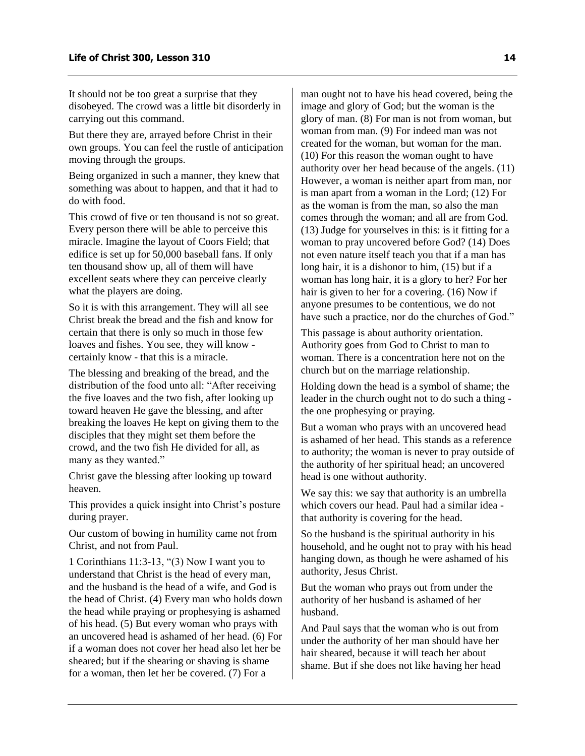It should not be too great a surprise that they disobeyed. The crowd was a little bit disorderly in carrying out this command.

But there they are, arrayed before Christ in their own groups. You can feel the rustle of anticipation moving through the groups.

Being organized in such a manner, they knew that something was about to happen, and that it had to do with food.

This crowd of five or ten thousand is not so great. Every person there will be able to perceive this miracle. Imagine the layout of Coors Field; that edifice is set up for 50,000 baseball fans. If only ten thousand show up, all of them will have excellent seats where they can perceive clearly what the players are doing.

So it is with this arrangement. They will all see Christ break the bread and the fish and know for certain that there is only so much in those few loaves and fishes. You see, they will know certainly know - that this is a miracle.

The blessing and breaking of the bread, and the distribution of the food unto all: "After receiving the five loaves and the two fish, after looking up toward heaven He gave the blessing, and after breaking the loaves He kept on giving them to the disciples that they might set them before the crowd, and the two fish He divided for all, as many as they wanted."

Christ gave the blessing after looking up toward heaven.

This provides a quick insight into Christ's posture during prayer.

Our custom of bowing in humility came not from Christ, and not from Paul.

1 Corinthians 11:3-13, "(3) Now I want you to understand that Christ is the head of every man, and the husband is the head of a wife, and God is the head of Christ. (4) Every man who holds down the head while praying or prophesying is ashamed of his head. (5) But every woman who prays with an uncovered head is ashamed of her head. (6) For if a woman does not cover her head also let her be sheared; but if the shearing or shaving is shame for a woman, then let her be covered. (7) For a

man ought not to have his head covered, being the image and glory of God; but the woman is the glory of man. (8) For man is not from woman, but woman from man. (9) For indeed man was not created for the woman, but woman for the man. (10) For this reason the woman ought to have authority over her head because of the angels. (11) However, a woman is neither apart from man, nor is man apart from a woman in the Lord; (12) For as the woman is from the man, so also the man comes through the woman; and all are from God. (13) Judge for yourselves in this: is it fitting for a woman to pray uncovered before God? (14) Does not even nature itself teach you that if a man has long hair, it is a dishonor to him, (15) but if a woman has long hair, it is a glory to her? For her hair is given to her for a covering. (16) Now if anyone presumes to be contentious, we do not have such a practice, nor do the churches of God."

This passage is about authority orientation. Authority goes from God to Christ to man to woman. There is a concentration here not on the church but on the marriage relationship.

Holding down the head is a symbol of shame; the leader in the church ought not to do such a thing the one prophesying or praying.

But a woman who prays with an uncovered head is ashamed of her head. This stands as a reference to authority; the woman is never to pray outside of the authority of her spiritual head; an uncovered head is one without authority.

We say this: we say that authority is an umbrella which covers our head. Paul had a similar idea that authority is covering for the head.

So the husband is the spiritual authority in his household, and he ought not to pray with his head hanging down, as though he were ashamed of his authority, Jesus Christ.

But the woman who prays out from under the authority of her husband is ashamed of her husband.

And Paul says that the woman who is out from under the authority of her man should have her hair sheared, because it will teach her about shame. But if she does not like having her head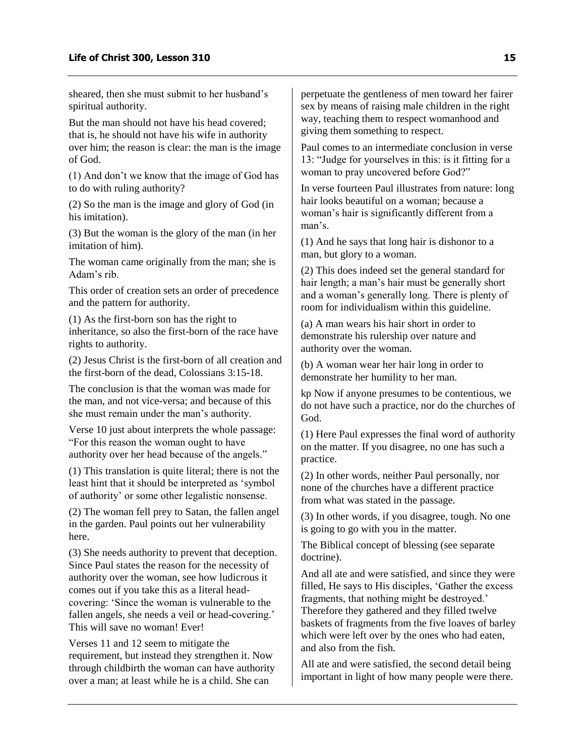sheared, then she must submit to her husband's spiritual authority.

But the man should not have his head covered; that is, he should not have his wife in authority over him; the reason is clear: the man is the image of God.

(1) And don't we know that the image of God has to do with ruling authority?

(2) So the man is the image and glory of God (in his imitation).

(3) But the woman is the glory of the man (in her imitation of him).

The woman came originally from the man; she is Adam's rib.

This order of creation sets an order of precedence and the pattern for authority.

(1) As the first-born son has the right to inheritance, so also the first-born of the race have rights to authority.

(2) Jesus Christ is the first-born of all creation and the first-born of the dead, Colossians 3:15-18.

The conclusion is that the woman was made for the man, and not vice-versa; and because of this she must remain under the man's authority.

Verse 10 just about interprets the whole passage: "For this reason the woman ought to have authority over her head because of the angels."

(1) This translation is quite literal; there is not the least hint that it should be interpreted as 'symbol of authority' or some other legalistic nonsense.

(2) The woman fell prey to Satan, the fallen angel in the garden. Paul points out her vulnerability here.

(3) She needs authority to prevent that deception. Since Paul states the reason for the necessity of authority over the woman, see how ludicrous it comes out if you take this as a literal headcovering: 'Since the woman is vulnerable to the fallen angels, she needs a veil or head-covering.' This will save no woman! Ever!

Verses 11 and 12 seem to mitigate the requirement, but instead they strengthen it. Now through childbirth the woman can have authority over a man; at least while he is a child. She can

perpetuate the gentleness of men toward her fairer sex by means of raising male children in the right way, teaching them to respect womanhood and giving them something to respect.

Paul comes to an intermediate conclusion in verse 13: "Judge for yourselves in this: is it fitting for a woman to pray uncovered before God?"

In verse fourteen Paul illustrates from nature: long hair looks beautiful on a woman; because a woman's hair is significantly different from a man's.

(1) And he says that long hair is dishonor to a man, but glory to a woman.

(2) This does indeed set the general standard for hair length; a man's hair must be generally short and a woman's generally long. There is plenty of room for individualism within this guideline.

(a) A man wears his hair short in order to demonstrate his rulership over nature and authority over the woman.

(b) A woman wear her hair long in order to demonstrate her humility to her man.

kp Now if anyone presumes to be contentious, we do not have such a practice, nor do the churches of God.

(1) Here Paul expresses the final word of authority on the matter. If you disagree, no one has such a practice.

(2) In other words, neither Paul personally, nor none of the churches have a different practice from what was stated in the passage.

(3) In other words, if you disagree, tough. No one is going to go with you in the matter.

The Biblical concept of blessing (see separate doctrine).

And all ate and were satisfied, and since they were filled, He says to His disciples, 'Gather the excess fragments, that nothing might be destroyed.' Therefore they gathered and they filled twelve baskets of fragments from the five loaves of barley which were left over by the ones who had eaten, and also from the fish.

All ate and were satisfied, the second detail being important in light of how many people were there.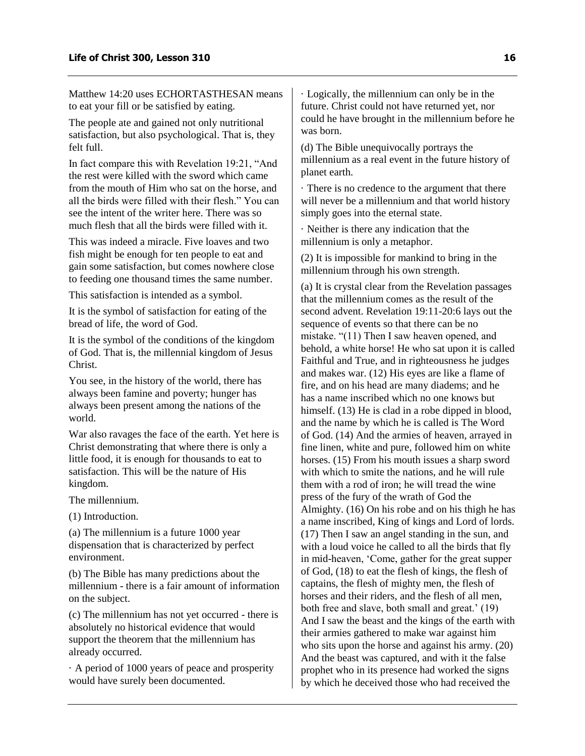Matthew 14:20 uses ECHORTASTHESAN means to eat your fill or be satisfied by eating.

The people ate and gained not only nutritional satisfaction, but also psychological. That is, they felt full.

In fact compare this with Revelation 19:21, "And the rest were killed with the sword which came from the mouth of Him who sat on the horse, and all the birds were filled with their flesh." You can see the intent of the writer here. There was so much flesh that all the birds were filled with it.

This was indeed a miracle. Five loaves and two fish might be enough for ten people to eat and gain some satisfaction, but comes nowhere close to feeding one thousand times the same number.

This satisfaction is intended as a symbol.

It is the symbol of satisfaction for eating of the bread of life, the word of God.

It is the symbol of the conditions of the kingdom of God. That is, the millennial kingdom of Jesus Christ.

You see, in the history of the world, there has always been famine and poverty; hunger has always been present among the nations of the world.

War also ravages the face of the earth. Yet here is Christ demonstrating that where there is only a little food, it is enough for thousands to eat to satisfaction. This will be the nature of His kingdom.

The millennium.

(1) Introduction.

(a) The millennium is a future 1000 year dispensation that is characterized by perfect environment.

(b) The Bible has many predictions about the millennium - there is a fair amount of information on the subject.

(c) The millennium has not yet occurred - there is absolutely no historical evidence that would support the theorem that the millennium has already occurred.

· A period of 1000 years of peace and prosperity would have surely been documented.

· Logically, the millennium can only be in the future. Christ could not have returned yet, nor could he have brought in the millennium before he was born.

(d) The Bible unequivocally portrays the millennium as a real event in the future history of planet earth.

· There is no credence to the argument that there will never be a millennium and that world history simply goes into the eternal state.

· Neither is there any indication that the millennium is only a metaphor.

(2) It is impossible for mankind to bring in the millennium through his own strength.

(a) It is crystal clear from the Revelation passages that the millennium comes as the result of the second advent. Revelation 19:11-20:6 lays out the sequence of events so that there can be no mistake. "(11) Then I saw heaven opened, and behold, a white horse! He who sat upon it is called Faithful and True, and in righteousness he judges and makes war. (12) His eyes are like a flame of fire, and on his head are many diadems; and he has a name inscribed which no one knows but himself. (13) He is clad in a robe dipped in blood, and the name by which he is called is The Word of God. (14) And the armies of heaven, arrayed in fine linen, white and pure, followed him on white horses. (15) From his mouth issues a sharp sword with which to smite the nations, and he will rule them with a rod of iron; he will tread the wine press of the fury of the wrath of God the Almighty. (16) On his robe and on his thigh he has a name inscribed, King of kings and Lord of lords. (17) Then I saw an angel standing in the sun, and with a loud voice he called to all the birds that fly in mid-heaven, 'Come, gather for the great supper of God, (18) to eat the flesh of kings, the flesh of captains, the flesh of mighty men, the flesh of horses and their riders, and the flesh of all men, both free and slave, both small and great.' (19) And I saw the beast and the kings of the earth with their armies gathered to make war against him who sits upon the horse and against his army. (20) And the beast was captured, and with it the false prophet who in its presence had worked the signs by which he deceived those who had received the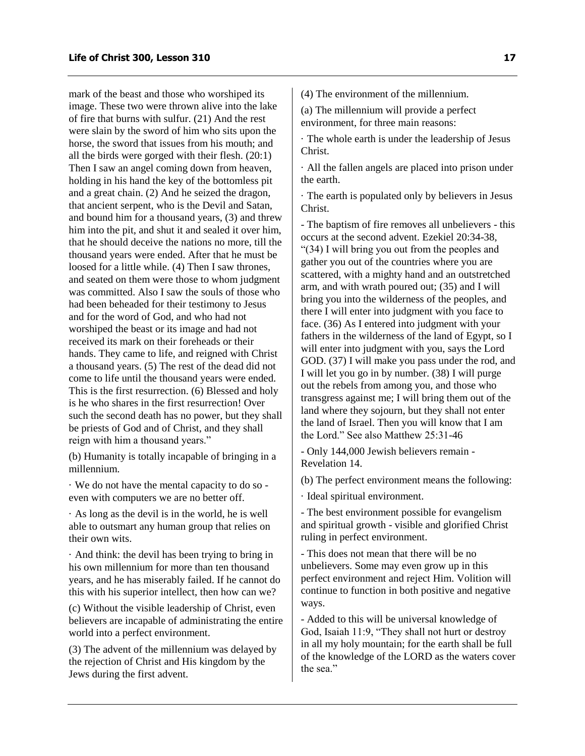mark of the beast and those who worshiped its image. These two were thrown alive into the lake of fire that burns with sulfur. (21) And the rest were slain by the sword of him who sits upon the horse, the sword that issues from his mouth; and all the birds were gorged with their flesh. (20:1) Then I saw an angel coming down from heaven, holding in his hand the key of the bottomless pit and a great chain. (2) And he seized the dragon, that ancient serpent, who is the Devil and Satan, and bound him for a thousand years, (3) and threw him into the pit, and shut it and sealed it over him, that he should deceive the nations no more, till the thousand years were ended. After that he must be loosed for a little while. (4) Then I saw thrones, and seated on them were those to whom judgment was committed. Also I saw the souls of those who had been beheaded for their testimony to Jesus and for the word of God, and who had not worshiped the beast or its image and had not received its mark on their foreheads or their hands. They came to life, and reigned with Christ a thousand years. (5) The rest of the dead did not come to life until the thousand years were ended. This is the first resurrection. (6) Blessed and holy is he who shares in the first resurrection! Over such the second death has no power, but they shall be priests of God and of Christ, and they shall reign with him a thousand years."

(b) Humanity is totally incapable of bringing in a millennium.

· We do not have the mental capacity to do so even with computers we are no better off.

· As long as the devil is in the world, he is well able to outsmart any human group that relies on their own wits.

· And think: the devil has been trying to bring in his own millennium for more than ten thousand years, and he has miserably failed. If he cannot do this with his superior intellect, then how can we?

(c) Without the visible leadership of Christ, even believers are incapable of administrating the entire world into a perfect environment.

(3) The advent of the millennium was delayed by the rejection of Christ and His kingdom by the Jews during the first advent.

(4) The environment of the millennium.

(a) The millennium will provide a perfect environment, for three main reasons:

· The whole earth is under the leadership of Jesus Christ.

· All the fallen angels are placed into prison under the earth.

· The earth is populated only by believers in Jesus Christ.

- The baptism of fire removes all unbelievers - this occurs at the second advent. Ezekiel 20:34-38, "(34) I will bring you out from the peoples and gather you out of the countries where you are scattered, with a mighty hand and an outstretched arm, and with wrath poured out; (35) and I will bring you into the wilderness of the peoples, and there I will enter into judgment with you face to face. (36) As I entered into judgment with your fathers in the wilderness of the land of Egypt, so I will enter into judgment with you, says the Lord GOD. (37) I will make you pass under the rod, and I will let you go in by number. (38) I will purge out the rebels from among you, and those who transgress against me; I will bring them out of the land where they sojourn, but they shall not enter the land of Israel. Then you will know that I am the Lord." See also Matthew 25:31-46

- Only 144,000 Jewish believers remain - Revelation 14.

(b) The perfect environment means the following:

· Ideal spiritual environment.

- The best environment possible for evangelism and spiritual growth - visible and glorified Christ ruling in perfect environment.

- This does not mean that there will be no unbelievers. Some may even grow up in this perfect environment and reject Him. Volition will continue to function in both positive and negative ways.

- Added to this will be universal knowledge of God, Isaiah 11:9, "They shall not hurt or destroy in all my holy mountain; for the earth shall be full of the knowledge of the LORD as the waters cover the sea."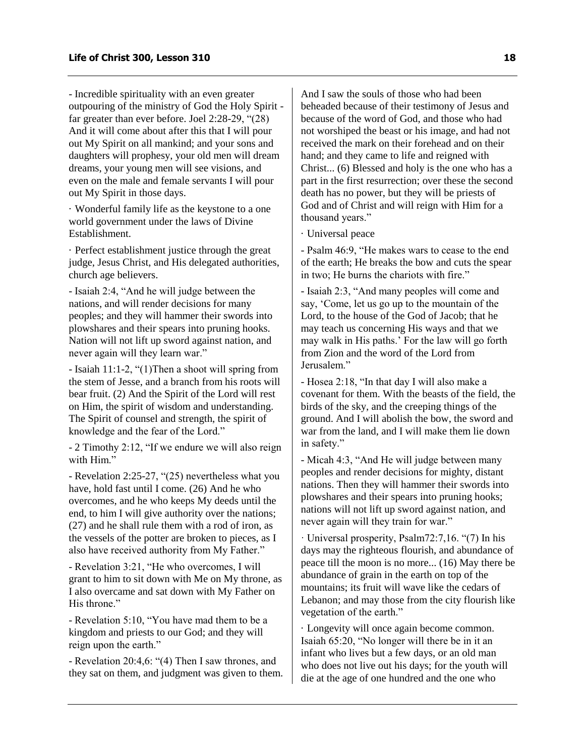- Incredible spirituality with an even greater outpouring of the ministry of God the Holy Spirit far greater than ever before. Joel 2:28-29, "(28) And it will come about after this that I will pour out My Spirit on all mankind; and your sons and daughters will prophesy, your old men will dream dreams, your young men will see visions, and even on the male and female servants I will pour out My Spirit in those days.

· Wonderful family life as the keystone to a one world government under the laws of Divine Establishment.

· Perfect establishment justice through the great judge, Jesus Christ, and His delegated authorities, church age believers.

- Isaiah 2:4, "And he will judge between the nations, and will render decisions for many peoples; and they will hammer their swords into plowshares and their spears into pruning hooks. Nation will not lift up sword against nation, and never again will they learn war."

- Isaiah 11:1-2, "(1)Then a shoot will spring from the stem of Jesse, and a branch from his roots will bear fruit. (2) And the Spirit of the Lord will rest on Him, the spirit of wisdom and understanding. The Spirit of counsel and strength, the spirit of knowledge and the fear of the Lord."

- 2 Timothy 2:12, "If we endure we will also reign with Him"

- Revelation 2:25-27, "(25) nevertheless what you have, hold fast until I come. (26) And he who overcomes, and he who keeps My deeds until the end, to him I will give authority over the nations; (27) and he shall rule them with a rod of iron, as the vessels of the potter are broken to pieces, as I also have received authority from My Father."

- Revelation 3:21, "He who overcomes, I will grant to him to sit down with Me on My throne, as I also overcame and sat down with My Father on His throne."

- Revelation 5:10, "You have mad them to be a kingdom and priests to our God; and they will reign upon the earth."

- Revelation 20:4,6: "(4) Then I saw thrones, and they sat on them, and judgment was given to them. And I saw the souls of those who had been beheaded because of their testimony of Jesus and because of the word of God, and those who had not worshiped the beast or his image, and had not received the mark on their forehead and on their hand; and they came to life and reigned with Christ... (6) Blessed and holy is the one who has a part in the first resurrection; over these the second death has no power, but they will be priests of God and of Christ and will reign with Him for a thousand years."

· Universal peace

- Psalm 46:9, "He makes wars to cease to the end of the earth; He breaks the bow and cuts the spear in two; He burns the chariots with fire."

- Isaiah 2:3, "And many peoples will come and say, 'Come, let us go up to the mountain of the Lord, to the house of the God of Jacob; that he may teach us concerning His ways and that we may walk in His paths.' For the law will go forth from Zion and the word of the Lord from Jerusalem."

- Hosea 2:18, "In that day I will also make a covenant for them. With the beasts of the field, the birds of the sky, and the creeping things of the ground. And I will abolish the bow, the sword and war from the land, and I will make them lie down in safety."

- Micah 4:3, "And He will judge between many peoples and render decisions for mighty, distant nations. Then they will hammer their swords into plowshares and their spears into pruning hooks; nations will not lift up sword against nation, and never again will they train for war."

· Universal prosperity, Psalm72:7,16. "(7) In his days may the righteous flourish, and abundance of peace till the moon is no more... (16) May there be abundance of grain in the earth on top of the mountains; its fruit will wave like the cedars of Lebanon; and may those from the city flourish like vegetation of the earth."

· Longevity will once again become common. Isaiah 65:20, "No longer will there be in it an infant who lives but a few days, or an old man who does not live out his days; for the youth will die at the age of one hundred and the one who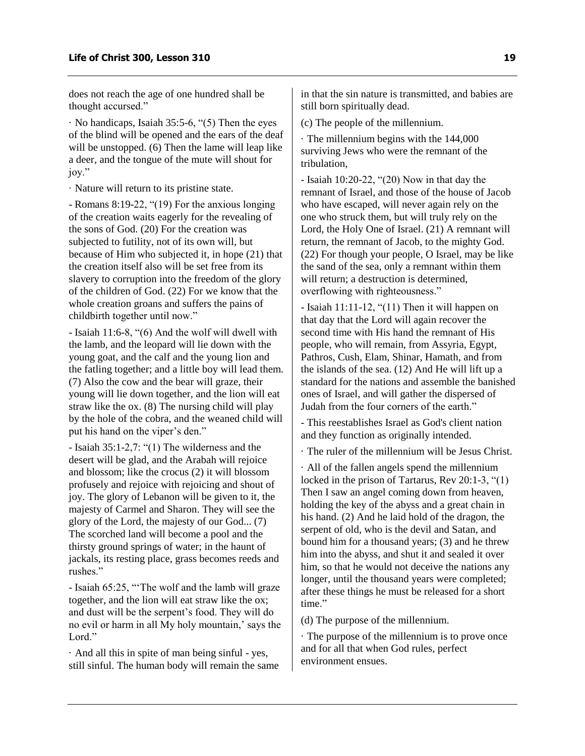does not reach the age of one hundred shall be thought accursed."

· No handicaps, Isaiah 35:5-6, "(5) Then the eyes of the blind will be opened and the ears of the deaf will be unstopped. (6) Then the lame will leap like a deer, and the tongue of the mute will shout for joy."

· Nature will return to its pristine state.

- Romans 8:19-22, "(19) For the anxious longing of the creation waits eagerly for the revealing of the sons of God. (20) For the creation was subjected to futility, not of its own will, but because of Him who subjected it, in hope (21) that the creation itself also will be set free from its slavery to corruption into the freedom of the glory of the children of God. (22) For we know that the whole creation groans and suffers the pains of childbirth together until now."

- Isaiah 11:6-8, "(6) And the wolf will dwell with the lamb, and the leopard will lie down with the young goat, and the calf and the young lion and the fatling together; and a little boy will lead them. (7) Also the cow and the bear will graze, their young will lie down together, and the lion will eat straw like the ox. (8) The nursing child will play by the hole of the cobra, and the weaned child will put his hand on the viper's den."

- Isaiah 35:1-2,7: "(1) The wilderness and the desert will be glad, and the Arabah will rejoice and blossom; like the crocus (2) it will blossom profusely and rejoice with rejoicing and shout of joy. The glory of Lebanon will be given to it, the majesty of Carmel and Sharon. They will see the glory of the Lord, the majesty of our God... (7) The scorched land will become a pool and the thirsty ground springs of water; in the haunt of jackals, its resting place, grass becomes reeds and rushes."

- Isaiah 65:25, "'The wolf and the lamb will graze together, and the lion will eat straw like the ox; and dust will be the serpent's food. They will do no evil or harm in all My holy mountain,' says the Lord."

· And all this in spite of man being sinful - yes, still sinful. The human body will remain the same in that the sin nature is transmitted, and babies are still born spiritually dead.

(c) The people of the millennium.

· The millennium begins with the 144,000 surviving Jews who were the remnant of the tribulation,

- Isaiah 10:20-22, "(20) Now in that day the remnant of Israel, and those of the house of Jacob who have escaped, will never again rely on the one who struck them, but will truly rely on the Lord, the Holy One of Israel. (21) A remnant will return, the remnant of Jacob, to the mighty God. (22) For though your people, O Israel, may be like the sand of the sea, only a remnant within them will return; a destruction is determined, overflowing with righteousness."

- Isaiah 11:11-12, "(11) Then it will happen on that day that the Lord will again recover the second time with His hand the remnant of His people, who will remain, from Assyria, Egypt, Pathros, Cush, Elam, Shinar, Hamath, and from the islands of the sea. (12) And He will lift up a standard for the nations and assemble the banished ones of Israel, and will gather the dispersed of Judah from the four corners of the earth."

- This reestablishes Israel as God's client nation and they function as originally intended.

· The ruler of the millennium will be Jesus Christ.

· All of the fallen angels spend the millennium locked in the prison of Tartarus, Rev 20:1-3, "(1) Then I saw an angel coming down from heaven, holding the key of the abyss and a great chain in his hand. (2) And he laid hold of the dragon, the serpent of old, who is the devil and Satan, and bound him for a thousand years; (3) and he threw him into the abyss, and shut it and sealed it over him, so that he would not deceive the nations any longer, until the thousand years were completed; after these things he must be released for a short time."

(d) The purpose of the millennium.

· The purpose of the millennium is to prove once and for all that when God rules, perfect environment ensues.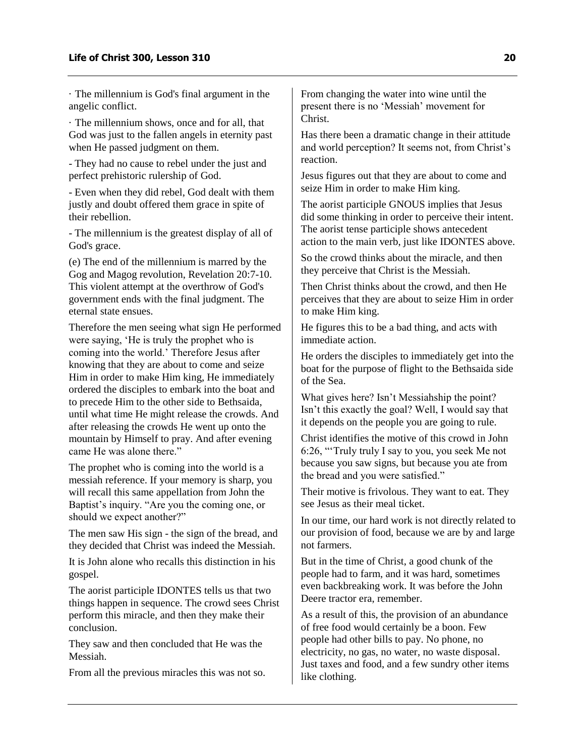· The millennium is God's final argument in the angelic conflict.

· The millennium shows, once and for all, that God was just to the fallen angels in eternity past when He passed judgment on them.

- They had no cause to rebel under the just and perfect prehistoric rulership of God.

- Even when they did rebel, God dealt with them justly and doubt offered them grace in spite of their rebellion.

- The millennium is the greatest display of all of God's grace.

(e) The end of the millennium is marred by the Gog and Magog revolution, Revelation 20:7-10. This violent attempt at the overthrow of God's government ends with the final judgment. The eternal state ensues.

Therefore the men seeing what sign He performed were saying, 'He is truly the prophet who is coming into the world.' Therefore Jesus after knowing that they are about to come and seize Him in order to make Him king, He immediately ordered the disciples to embark into the boat and to precede Him to the other side to Bethsaida, until what time He might release the crowds. And after releasing the crowds He went up onto the mountain by Himself to pray. And after evening came He was alone there."

The prophet who is coming into the world is a messiah reference. If your memory is sharp, you will recall this same appellation from John the Baptist's inquiry. "Are you the coming one, or should we expect another?"

The men saw His sign - the sign of the bread, and they decided that Christ was indeed the Messiah.

It is John alone who recalls this distinction in his gospel.

The aorist participle IDONTES tells us that two things happen in sequence. The crowd sees Christ perform this miracle, and then they make their conclusion.

They saw and then concluded that He was the Messiah.

From all the previous miracles this was not so.

From changing the water into wine until the present there is no 'Messiah' movement for Christ.

Has there been a dramatic change in their attitude and world perception? It seems not, from Christ's reaction.

Jesus figures out that they are about to come and seize Him in order to make Him king.

The aorist participle GNOUS implies that Jesus did some thinking in order to perceive their intent. The aorist tense participle shows antecedent action to the main verb, just like IDONTES above.

So the crowd thinks about the miracle, and then they perceive that Christ is the Messiah.

Then Christ thinks about the crowd, and then He perceives that they are about to seize Him in order to make Him king.

He figures this to be a bad thing, and acts with immediate action.

He orders the disciples to immediately get into the boat for the purpose of flight to the Bethsaida side of the Sea.

What gives here? Isn't Messiahship the point? Isn't this exactly the goal? Well, I would say that it depends on the people you are going to rule.

Christ identifies the motive of this crowd in John 6:26, "'Truly truly I say to you, you seek Me not because you saw signs, but because you ate from the bread and you were satisfied."

Their motive is frivolous. They want to eat. They see Jesus as their meal ticket.

In our time, our hard work is not directly related to our provision of food, because we are by and large not farmers.

But in the time of Christ, a good chunk of the people had to farm, and it was hard, sometimes even backbreaking work. It was before the John Deere tractor era, remember.

As a result of this, the provision of an abundance of free food would certainly be a boon. Few people had other bills to pay. No phone, no electricity, no gas, no water, no waste disposal. Just taxes and food, and a few sundry other items like clothing.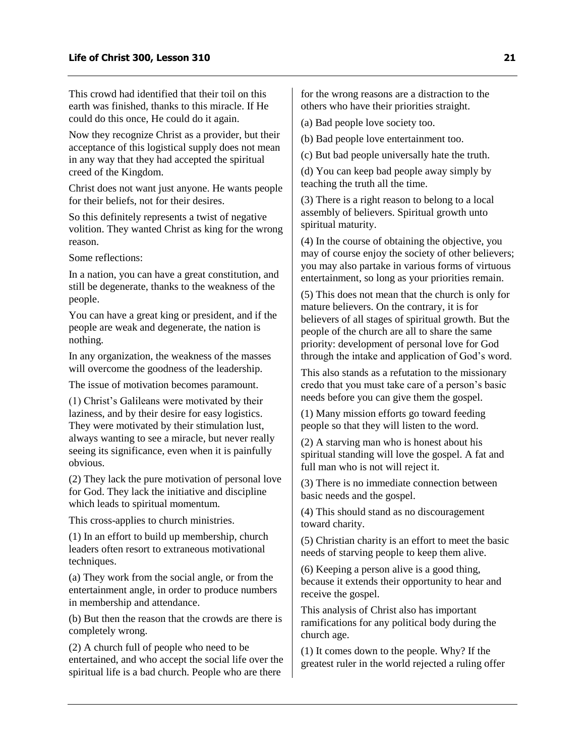This crowd had identified that their toil on this earth was finished, thanks to this miracle. If He could do this once, He could do it again.

Now they recognize Christ as a provider, but their acceptance of this logistical supply does not mean in any way that they had accepted the spiritual creed of the Kingdom.

Christ does not want just anyone. He wants people for their beliefs, not for their desires.

So this definitely represents a twist of negative volition. They wanted Christ as king for the wrong reason.

Some reflections:

In a nation, you can have a great constitution, and still be degenerate, thanks to the weakness of the people.

You can have a great king or president, and if the people are weak and degenerate, the nation is nothing.

In any organization, the weakness of the masses will overcome the goodness of the leadership.

The issue of motivation becomes paramount.

(1) Christ's Galileans were motivated by their laziness, and by their desire for easy logistics. They were motivated by their stimulation lust, always wanting to see a miracle, but never really seeing its significance, even when it is painfully obvious.

(2) They lack the pure motivation of personal love for God. They lack the initiative and discipline which leads to spiritual momentum.

This cross-applies to church ministries.

(1) In an effort to build up membership, church leaders often resort to extraneous motivational techniques.

(a) They work from the social angle, or from the entertainment angle, in order to produce numbers in membership and attendance.

(b) But then the reason that the crowds are there is completely wrong.

(2) A church full of people who need to be entertained, and who accept the social life over the spiritual life is a bad church. People who are there

for the wrong reasons are a distraction to the others who have their priorities straight.

(a) Bad people love society too.

(b) Bad people love entertainment too.

(c) But bad people universally hate the truth.

(d) You can keep bad people away simply by teaching the truth all the time.

(3) There is a right reason to belong to a local assembly of believers. Spiritual growth unto spiritual maturity.

(4) In the course of obtaining the objective, you may of course enjoy the society of other believers; you may also partake in various forms of virtuous entertainment, so long as your priorities remain.

(5) This does not mean that the church is only for mature believers. On the contrary, it is for believers of all stages of spiritual growth. But the people of the church are all to share the same priority: development of personal love for God through the intake and application of God's word.

This also stands as a refutation to the missionary credo that you must take care of a person's basic needs before you can give them the gospel.

(1) Many mission efforts go toward feeding people so that they will listen to the word.

(2) A starving man who is honest about his spiritual standing will love the gospel. A fat and full man who is not will reject it.

(3) There is no immediate connection between basic needs and the gospel.

(4) This should stand as no discouragement toward charity.

(5) Christian charity is an effort to meet the basic needs of starving people to keep them alive.

(6) Keeping a person alive is a good thing, because it extends their opportunity to hear and receive the gospel.

This analysis of Christ also has important ramifications for any political body during the church age.

(1) It comes down to the people. Why? If the greatest ruler in the world rejected a ruling offer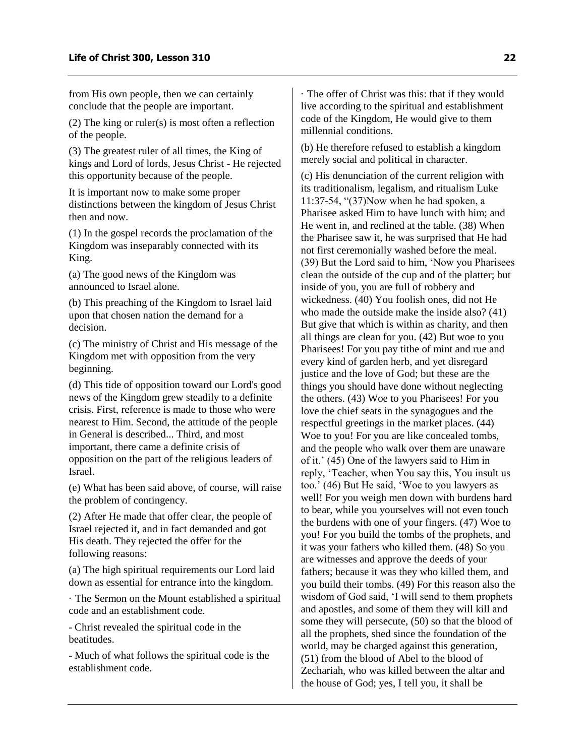from His own people, then we can certainly conclude that the people are important.

(2) The king or ruler(s) is most often a reflection of the people.

(3) The greatest ruler of all times, the King of kings and Lord of lords, Jesus Christ - He rejected this opportunity because of the people.

It is important now to make some proper distinctions between the kingdom of Jesus Christ then and now.

(1) In the gospel records the proclamation of the Kingdom was inseparably connected with its King.

(a) The good news of the Kingdom was announced to Israel alone.

(b) This preaching of the Kingdom to Israel laid upon that chosen nation the demand for a decision.

(c) The ministry of Christ and His message of the Kingdom met with opposition from the very beginning.

(d) This tide of opposition toward our Lord's good news of the Kingdom grew steadily to a definite crisis. First, reference is made to those who were nearest to Him. Second, the attitude of the people in General is described... Third, and most important, there came a definite crisis of opposition on the part of the religious leaders of Israel.

(e) What has been said above, of course, will raise the problem of contingency.

(2) After He made that offer clear, the people of Israel rejected it, and in fact demanded and got His death. They rejected the offer for the following reasons:

(a) The high spiritual requirements our Lord laid down as essential for entrance into the kingdom.

· The Sermon on the Mount established a spiritual code and an establishment code.

- Christ revealed the spiritual code in the beatitudes.

- Much of what follows the spiritual code is the establishment code.

· The offer of Christ was this: that if they would live according to the spiritual and establishment code of the Kingdom, He would give to them millennial conditions.

(b) He therefore refused to establish a kingdom merely social and political in character.

(c) His denunciation of the current religion with its traditionalism, legalism, and ritualism Luke 11:37-54, "(37)Now when he had spoken, a Pharisee asked Him to have lunch with him; and He went in, and reclined at the table. (38) When the Pharisee saw it, he was surprised that He had not first ceremonially washed before the meal. (39) But the Lord said to him, 'Now you Pharisees clean the outside of the cup and of the platter; but inside of you, you are full of robbery and wickedness. (40) You foolish ones, did not He who made the outside make the inside also? (41) But give that which is within as charity, and then all things are clean for you. (42) But woe to you Pharisees! For you pay tithe of mint and rue and every kind of garden herb, and yet disregard justice and the love of God; but these are the things you should have done without neglecting the others. (43) Woe to you Pharisees! For you love the chief seats in the synagogues and the respectful greetings in the market places. (44) Woe to you! For you are like concealed tombs, and the people who walk over them are unaware of it.' (45) One of the lawyers said to Him in reply, 'Teacher, when You say this, You insult us too.' (46) But He said, 'Woe to you lawyers as well! For you weigh men down with burdens hard to bear, while you yourselves will not even touch the burdens with one of your fingers. (47) Woe to you! For you build the tombs of the prophets, and it was your fathers who killed them. (48) So you are witnesses and approve the deeds of your fathers; because it was they who killed them, and you build their tombs. (49) For this reason also the wisdom of God said, 'I will send to them prophets and apostles, and some of them they will kill and some they will persecute, (50) so that the blood of all the prophets, shed since the foundation of the world, may be charged against this generation, (51) from the blood of Abel to the blood of Zechariah, who was killed between the altar and the house of God; yes, I tell you, it shall be